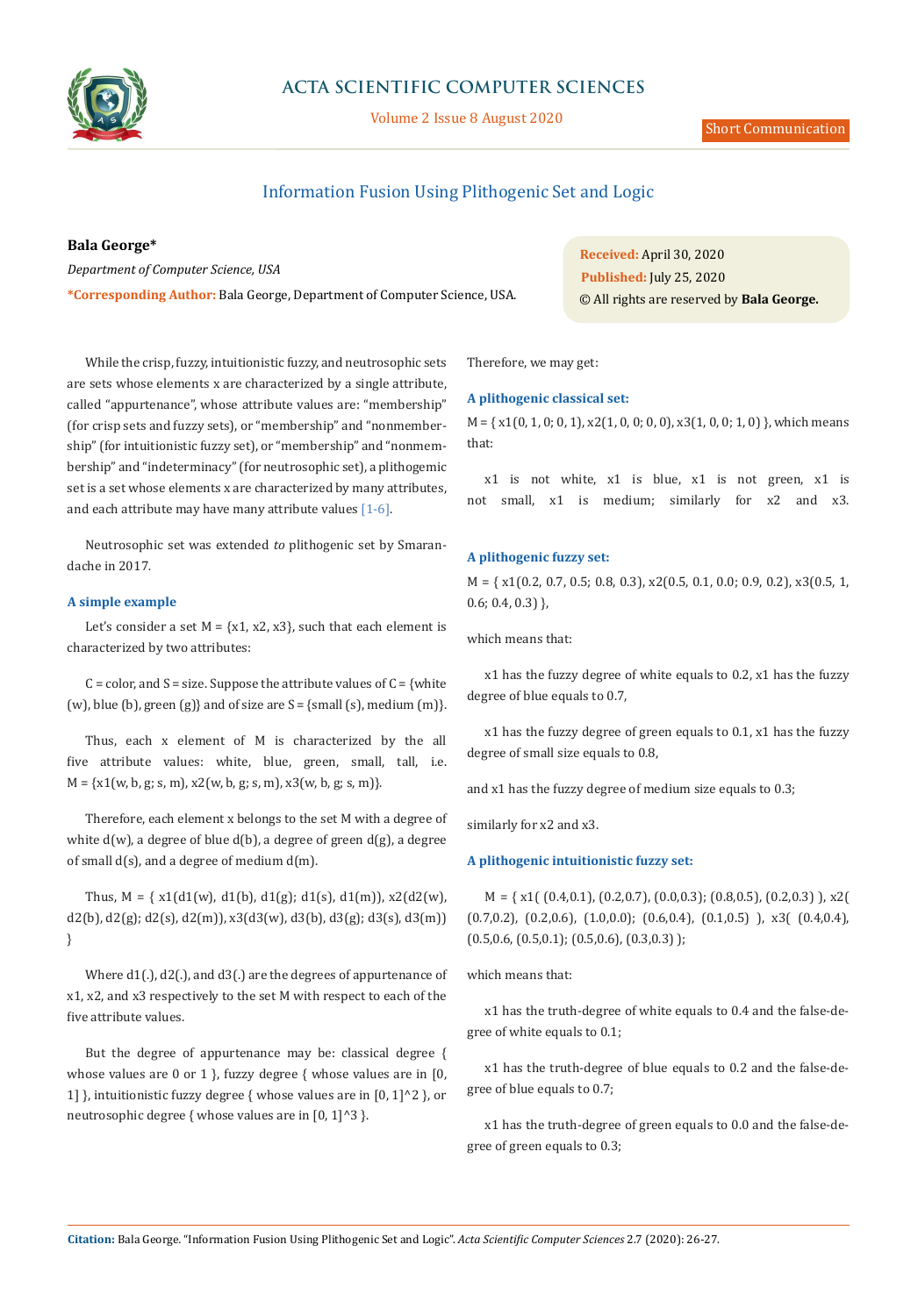

# **ACTA SCIENTIFIC COMPUTER SCIENCES**

Volume 2 Issue 8 August 2020

## Information Fusion Using Plithogenic Set and Logic

**Bala George\***

*Department of Computer Science, USA*

**\*Corresponding Author:** Bala George, Department of Computer Science, USA.

**Received:** April 30, 2020 © All rights are reserved by **Bala George. Published:** July 25, 2020

While the crisp, fuzzy, intuitionistic fuzzy, and neutrosophic sets are sets whose elements x are characterized by a single attribute, called "appurtenance", whose attribute values are: "membership" (for crisp sets and fuzzy sets), or "membership" and "nonmembership" (for intuitionistic fuzzy set), or "membership" and "nonmembership" and "indeterminacy" (for neutrosophic set), a plithogemic set is a set whose elements x are characterized by many attributes, and each attribute may have many attribute values  $[1-6]$ .

Neutrosophic set was extended *to* plithogenic set by Smarandache in 2017*.*

#### **A simple example**

Let's consider a set  $M = \{x1, x2, x3\}$ , such that each element is characterized by two attributes:

 $C = color$ , and  $S = size$ . Suppose the attribute values of  $C = \{white$ (w), blue (b), green (g)} and of size are  $S = \{ \text{small}(s) \}$ , medium  $\{m\}$ .

Thus, each x element of M is characterized by the all five attribute values: white, blue, green, small, tall, i.e.  $M = \{x1(w, b, g; s, m), x2(w, b, g; s, m), x3(w, b, g; s, m)\}.$ 

Therefore, each element x belongs to the set M with a degree of white d(w), a degree of blue d(b), a degree of green d(g), a degree of small  $d(s)$ , and a degree of medium  $d(m)$ .

Thus,  $M = \{ x1(d1(w), d1(b), d1(g); d1(s), d1(m)), x2(d2(w),$  $d2(b)$ ,  $d2(g)$ ;  $d2(s)$ ,  $d2(m)$ ),  $x3(d3(w), d3(b), d3(g)$ ;  $d3(s), d3(m))$ }

Where d1(.), d2(.), and d3(.) are the degrees of appurtenance of x1, x2, and x3 respectively to the set M with respect to each of the five attribute values.

But the degree of appurtenance may be: classical degree { whose values are 0 or 1 }, fuzzy degree { whose values are in [0, 1] }, intuitionistic fuzzy degree { whose values are in  $[0, 1]$ ^2 }, or neutrosophic degree { whose values are in [0, 1]^3 }.

Therefore, we may get:

#### **A plithogenic classical set:**

 $M = \{ x1(0, 1, 0; 0, 1), x2(1, 0, 0; 0, 0), x3(1, 0, 0; 1, 0) \}$ , which means that:

x1 is not white, x1 is blue, x1 is not green, x1 is not small, x1 is medium; similarly for x2 and x3.

## **A plithogenic fuzzy set:**

M = { x1(0.2, 0.7, 0.5; 0.8, 0.3), x2(0.5, 0.1, 0.0; 0.9, 0.2), x3(0.5, 1, 0.6; 0.4, 0.3) },

which means that:

x1 has the fuzzy degree of white equals to 0.2, x1 has the fuzzy degree of blue equals to 0.7,

x1 has the fuzzy degree of green equals to 0.1, x1 has the fuzzy degree of small size equals to 0.8,

and x1 has the fuzzy degree of medium size equals to 0.3;

similarly for x2 and x3.

## **A plithogenic intuitionistic fuzzy set:**

 $M = \{ x1( (0.4, 0.1), (0.2, 0.7), (0.0, 0.3); (0.8, 0.5), (0.2, 0.3) \}$ , x2( (0.7,0.2), (0.2,0.6), (1.0,0.0); (0.6,0.4), (0.1,0.5) ), x3( (0.4,0.4),  $(0.5,0.6, (0.5,0.1); (0.5,0.6), (0.3,0.3)$  );

which means that:

x1 has the truth-degree of white equals to 0.4 and the false-degree of white equals to 0.1;

x1 has the truth-degree of blue equals to 0.2 and the false-degree of blue equals to 0.7;

x1 has the truth-degree of green equals to 0.0 and the false-degree of green equals to 0.3;